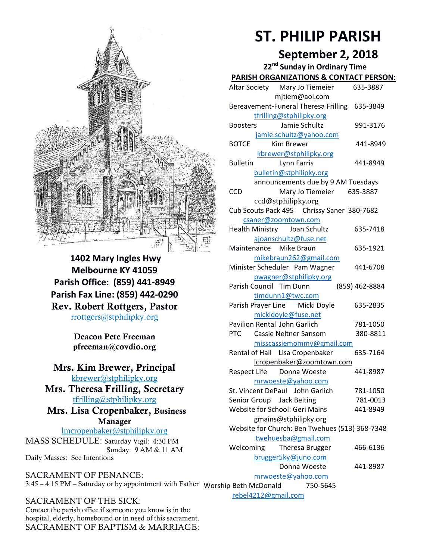

**1402 Mary Ingles Hwy Melbourne KY 41059 Parish Office: (859) 441-8949 Parish Fax Line: (859) 442-0290 Rev. Robert Rottgers, Pastor**  [rrottgers@stphilipky.org](mailto:rrottgers@stphilipky.org)

> **Deacon Pete Freeman pfreeman@covdio.org**

**Mrs. Kim Brewer, Principal**  [kbrewer@stphilipky.org](mailto:kbrewer@stphilipky.org)

**Mrs. Theresa Frilling, Secretary**  [tfrilling@stphilipky.org](mailto:tfrilling@stphilipky.org)

 **Mrs. Lisa Cropenbaker, Business Manager** 

lmcropenbaker@stphilipky.org MASS SCHEDULE: Saturday Vigil: 4:30 PM Sunday: 9 AM & 11 AM Daily Masses: See Intentions

SACRAMENT OF PENANCE: 3:45 – 4:15 PM – Saturday or by appointment with Father Worship Beth McDonald 750-5645

SACRAMENT OF THE SICK: Contact the parish office if someone you know is in the hospital, elderly, homebound or in need of this sacrament. SACRAMENT OF BAPTISM & MARRIAGE:

# **ST. PHILIP PARISH**

# **September 2, 2018**

**22nd Sunday in Ordinary Time PARISH ORGANIZATIONS & CONTACT PERSON:** Altar Society Mary Jo Tiemeier 635-3887 mjtiem@aol.com Bereavement-Funeral Theresa Frilling 635-3849 [tfrilling@stphilipky.org](mailto:tfrilling@stphilipky.org) Boosters Jamie Schultz 991-3176 [jamie.schultz@yahoo.com](mailto:jamie.schultz@yahoo.com) BOTCE Kim Brewer 441-8949 [kbrewer@stphilipky.org](mailto:kbrewer@stphilipky.org) Bulletin Lynn Farris 441-8949 [bulletin@stphilipky.org](mailto:bulletin@stphilipky.org) announcements due by 9 AM Tuesdays CCD Mary Jo Tiemeier 635-3887 ccd@stphilipky.org Cub Scouts Pack 495 Chrissy Saner 380-7682 [csaner@zoomtown.com](mailto:csaner@zoomtown.com) Health Ministry Joan Schultz 635-7418 [ajoanschultz@fuse.net](mailto:ajoanschultz@fuse.net) Maintenance Mike Braun 635-1921 [mikebraun262@gmail.com](mailto:mikebraun262@gmail.com) Minister Scheduler Pam Wagner 441-6708 [pwagner@stphilipky.org](mailto:pwagner@stphilipky.org) Parish Council Tim Dunn (859) 462-8884 [timdunn1@twc.com](mailto:timdunn@twc.com) Parish Prayer Line Micki Doyle 635-2835 [mickidoyle@fuse.net](mailto:mickidoyle@fuse.net) Pavilion Rental John Garlich 781-1050 PTC Cassie Neltner Sansom 380-8811 [misscassiemommy@gmail.com](mailto:misscassiemommy@gmail.com) Rental of Hall Lisa Cropenbaker 635-7164 lcropenbaker@zoomtown.com Respect Life Donna Woeste 441-8987 [mrwoeste@yahoo.com](mailto:mrwoeste@yahoo.com) St. Vincent DePaul John Garlich 781-1050 Senior Group Jack Beiting 781-0013 Website for School: Geri Mains 441-8949 gmains@stphilipky.org Website for Church: Ben Twehues (513) 368-7348 [twehuesba@gmail.com](mailto:twehuesba@gmail.com) Welcoming Theresa Brugger 466-6136 [brugger5ky@juno.com](mailto:brugger5ky@juno.com) Donna Woeste 441-8987 [mrwoeste@yahoo.com](mailto:mrwoeste@yahoo.com)

[rebel4212@gmail.com](mailto:trebel4212@gmail.com)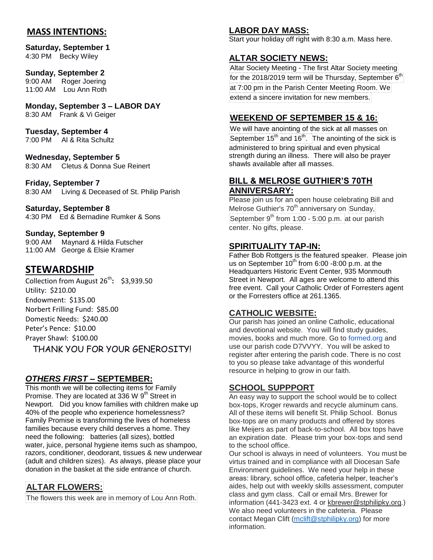### **MASS INTENTIONS:**

**Saturday, September 1**  4:30 PM Becky Wiley

#### **Sunday, September 2**

9:00 AM Roger Joering 11:00 AM Lou Ann Roth

**Monday, September 3 – LABOR DAY**  8:30 AM Frank & Vi Geiger

**Tuesday, September 4**

7:00 PM Al & Rita Schultz

**Wednesday, September 5** 8:30 AM Cletus & Donna Sue Reinert

**Friday, September 7** 8:30 AM Living & Deceased of St. Philip Parish

#### **Saturday, September 8**

4:30 PM Ed & Bernadine Rumker & Sons

**Sunday, September 9**

9:00 AM Maynard & Hilda Futscher 11:00 AM George & Elsie Kramer

# **STEWARDSHIP**

Collection from August 26<sup>th</sup>: \$3,939.50 Utility: \$210.00 Endowment: \$135.00 Norbert Frilling Fund: \$85.00 Domestic Needs: \$240.00 Peter's Pence: \$10.00 Prayer Shawl: \$100.00 THANK YOU FOR YOUR GENEROSITY!

*OTHERS FIRST* **– SEPTEMBER:**

This month we will be collecting items for Family Promise. They are located at 336 W 9<sup>th</sup> Street in Newport. Did you know families with children make up 40% of the people who experience homelessness? Family Promise is transforming the lives of homeless families because every child deserves a home. They need the following: batteries (all sizes), bottled water, juice, personal hygiene items such as shampoo, razors, conditioner, deodorant, tissues & new underwear (adult and children sizes). As always, please place your donation in the basket at the side entrance of church.

# **ALTAR FLOWERS:**

The flowers this week are in memory of Lou Ann Roth.

#### **LABOR DAY MASS:**

Start your holiday off right with 8:30 a.m. Mass here.

#### **ALTAR SOCIETY NEWS:**

Altar Society Meeting - The first Altar Society meeting for the 2018/2019 term will be Thursday, September  $6^\text{th}$ at 7:00 pm in the Parish Center Meeting Room. We extend a sincere invitation for new members.

# **WEEKEND OF SEPTEMBER 15 & 16:**

We will have anointing of the sick at all masses on September 15<sup>th</sup> and 16<sup>th</sup>. The anointing of the sick is administered to bring spiritual and even physical strength during an illness. There will also be prayer shawls available after all masses.

#### **BILL & MELROSE GUTHIER'S 70TH ANNIVERSARY:**

Please join us for an open house celebrating Bill and Melrose Guthier's 70<sup>th</sup> anniversary on Sunday, September  $9<sup>th</sup>$  from 1:00 - 5:00 p.m. at our parish center. No gifts, please.

#### **SPIRITUALITY TAP-IN:**

Father Bob Rottgers is the featured speaker. Please join us on September  $10^{th}$  from 6:00 -8:00 p.m. at the Headquarters Historic Event Center, 935 Monmouth Street in Newport. All ages are welcome to attend this free event. Call your Catholic Order of Forresters agent or the Forresters office at 261.1365.

#### **CATHOLIC WEBSITE:**

Our parish has joined an online Catholic, educational and devotional website. You will find study guides, movies, books and much more. Go to [formed.org](http://formed.org/) and use our parish code D7VVYY. You will be asked to register after entering the parish code. There is no cost to you so please take advantage of this wonderful resource in helping to grow in our faith.

#### **SCHOOL SUPPPORT**

An easy way to support the school would be to collect box-tops, Kroger rewards and recycle aluminum cans. All of these items will benefit St. Philip School. Bonus box-tops are on many products and offered by stores like Meijers as part of back-to-school. All box tops have an expiration date. Please trim your box-tops and send to the school office.

Our school is always in need of volunteers. You must be virtus trained and in compliance with all Diocesan Safe Environment guidelines. We need your help in these areas: library, school office, cafeteria helper, teacher's aides, help out with weekly skills assessment, computer class and gym class. Call or email Mrs. Brewer for information (441-3423 ext. 4 or [kbrewer@stphilipky.org.](mailto:kbrewer@stphilipky.org)) We also need volunteers in the cafeteria. Please contact Megan Clift [\(mclift@stphilipky.org\)](mailto:mclift@stphilipky.org) for more information.